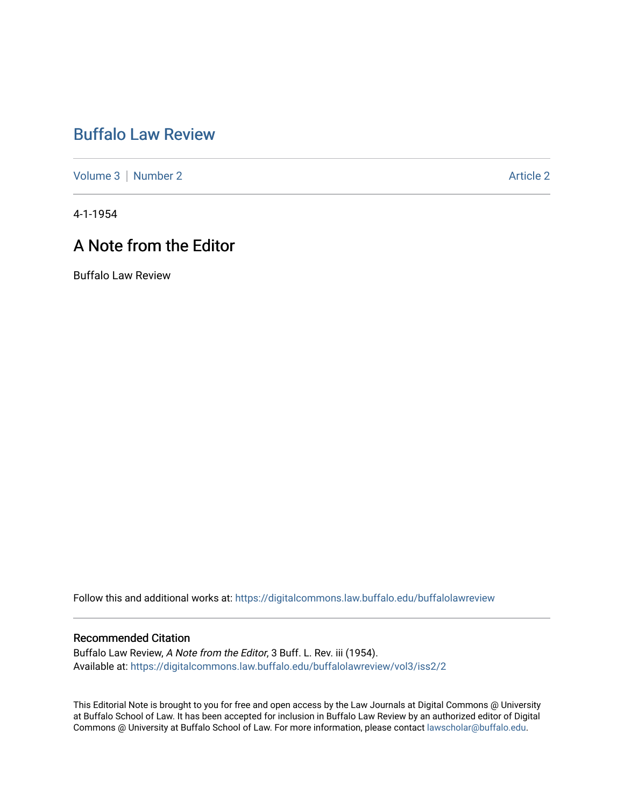# [Buffalo Law Review](https://digitalcommons.law.buffalo.edu/buffalolawreview)

[Volume 3](https://digitalcommons.law.buffalo.edu/buffalolawreview/vol3) | [Number 2](https://digitalcommons.law.buffalo.edu/buffalolawreview/vol3/iss2) Article 2

4-1-1954

## A Note from the Editor

Buffalo Law Review

Follow this and additional works at: [https://digitalcommons.law.buffalo.edu/buffalolawreview](https://digitalcommons.law.buffalo.edu/buffalolawreview?utm_source=digitalcommons.law.buffalo.edu%2Fbuffalolawreview%2Fvol3%2Fiss2%2F2&utm_medium=PDF&utm_campaign=PDFCoverPages) 

#### Recommended Citation

Buffalo Law Review, A Note from the Editor, 3 Buff. L. Rev. iii (1954). Available at: [https://digitalcommons.law.buffalo.edu/buffalolawreview/vol3/iss2/2](https://digitalcommons.law.buffalo.edu/buffalolawreview/vol3/iss2/2?utm_source=digitalcommons.law.buffalo.edu%2Fbuffalolawreview%2Fvol3%2Fiss2%2F2&utm_medium=PDF&utm_campaign=PDFCoverPages) 

This Editorial Note is brought to you for free and open access by the Law Journals at Digital Commons @ University at Buffalo School of Law. It has been accepted for inclusion in Buffalo Law Review by an authorized editor of Digital Commons @ University at Buffalo School of Law. For more information, please contact [lawscholar@buffalo.edu](mailto:lawscholar@buffalo.edu).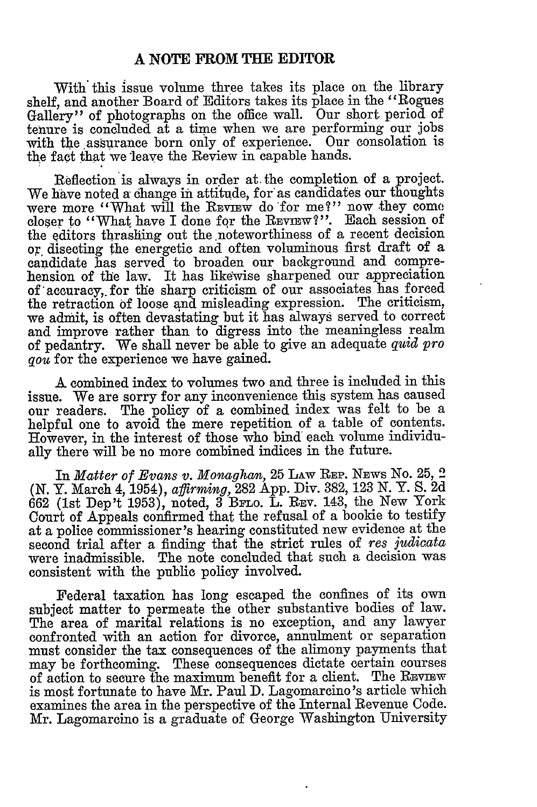#### **A NOTE FROM THE EDITOR**

With this issue volume three takes its place on the library shelf, and another Board of Editors takes its place in the "Rogues Gallery" of photographs on the office wall. Our short period of tenure is concluded at a time when we are performing our jobs with the assurance born only of experience. Our consolation is the fact that we leave the Review in capable hands.

Reflection is always in order at the completion of a project. We have noted a change in attitude, for as candidates our thoughts were more "What will the REVIEW do for me?" now they come closer to "What have I done for the REVIEW?". Each session of the editors thrashing out the noteworthiness of a recent decision or disecting the energetic and often voluminous first draft of a candidate has served to broaden our background and comprehension of the law. It has likewise sharpened our appreciation of 'accuracy,, for the sharp criticism of our associates has forced the retraction of loose and misleading expression. The criticism, we admit, is often devastating but it has always served to correct and improve rather than to digress into the meaningless realm of pedantry. We shall never be able to give an adequate *quid pro qou* for the experience we have gained.

**A** combined index to volumes two and three is included in this issue. We are sorry for any inconvenience this system has caused our readers. The policy of a combined index was felt to be a helpful one to avoid the mere repetition of a table of contents. However, in the interest of those who bind each volume individually there will be no more combined indices in the future.

In *Matter of Evans v. Monaghan*, 25 LAW REP. NEWS No. 25, 2 *(N.* Y. March 4, 1954), *affirming,* 282 App. Div. 382, 123 N. Y. S. 2d 662 (1st Dep't 1953), noted, 3 BPLo. L. REv. 143, the New York Court of Appeals confirmed that the refusal of a bookie to testify at a police commissioner's hearing constituted new evidence at the second trial after a finding that the strict rules of *res judicata* were inadmissible. The note concluded that such a decision was consistent with the public policy involved.

Federal taxation has long escaped the confines of its own subject matter to permeate the other substantive bodies of law. The area of marital relations is no exception, and any lawyer confronted with an action for divorce, annulment or separation must consider the tax consequences of the alimony payments that may be forthcoming. These consequences dictate certain courses of action to secure the maximum benefit for a client. The REVIEW is most fortunate to have Mr. Paul D. Lagomarcino *'s* article which examines the area in the perspective of the Internal Revenue Code. Mr. Lagomarcino is a graduate of George Washington University